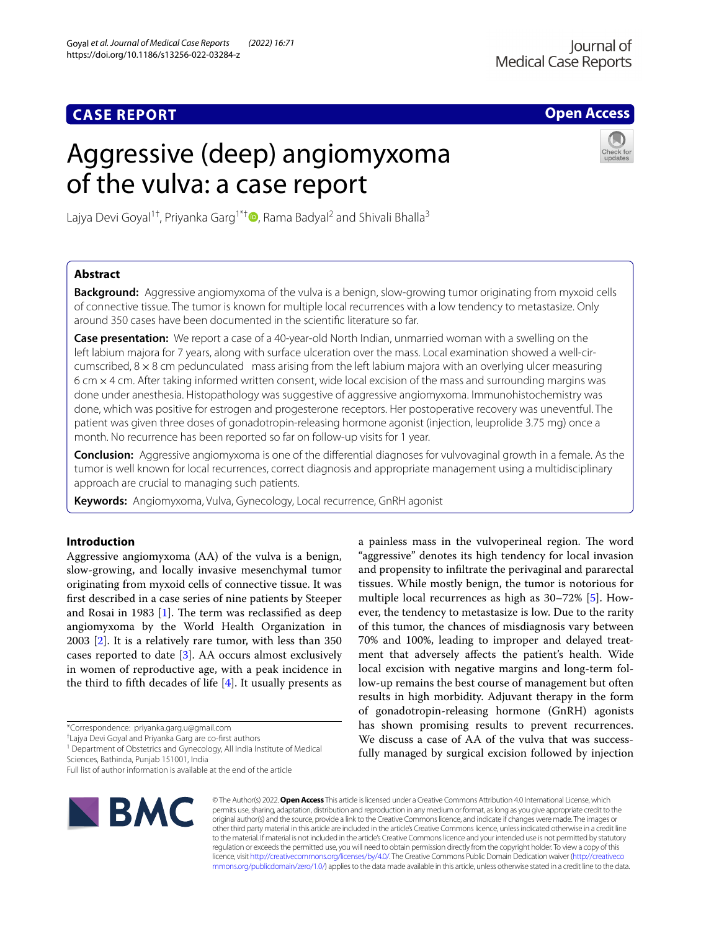# **Open Access**

# Aggressive (deep) angiomyxoma of the vulva: a case report



Lajya Devi Goyal<sup>1[†](http://orcid.org/0000-0003-0336-4750)</sup>, Priyanka Garg<sup>1\*†</sup>  $\bullet$ , Rama Badyal<sup>2</sup> and Shivali Bhalla<sup>3</sup>

# **Abstract**

**CASE REPORT**

**Background:** Aggressive angiomyxoma of the vulva is a benign, slow-growing tumor originating from myxoid cells of connective tissue. The tumor is known for multiple local recurrences with a low tendency to metastasize. Only around 350 cases have been documented in the scientifc literature so far.

**Case presentation:** We report a case of a 40-year-old North Indian, unmarried woman with a swelling on the left labium majora for 7 years, along with surface ulceration over the mass. Local examination showed a well-circumscribed,  $8 \times 8$  cm pedunculated mass arising from the left labium majora with an overlying ulcer measuring 6 cm  $\times$  4 cm. After taking informed written consent, wide local excision of the mass and surrounding margins was done under anesthesia. Histopathology was suggestive of aggressive angiomyxoma. Immunohistochemistry was done, which was positive for estrogen and progesterone receptors. Her postoperative recovery was uneventful. The patient was given three doses of gonadotropin-releasing hormone agonist (injection, leuprolide 3.75 mg) once a month. No recurrence has been reported so far on follow-up visits for 1 year.

**Conclusion:** Aggressive angiomyxoma is one of the diferential diagnoses for vulvovaginal growth in a female. As the tumor is well known for local recurrences, correct diagnosis and appropriate management using a multidisciplinary approach are crucial to managing such patients.

**Keywords:** Angiomyxoma, Vulva, Gynecology, Local recurrence, GnRH agonist

# **Introduction**

Aggressive angiomyxoma (AA) of the vulva is a benign, slow-growing, and locally invasive mesenchymal tumor originating from myxoid cells of connective tissue. It was frst described in a case series of nine patients by Steeper and Rosai in 1983  $[1]$  $[1]$ . The term was reclassified as deep angiomyxoma by the World Health Organization in 2003 [[2\]](#page-3-1). It is a relatively rare tumor, with less than 350 cases reported to date [\[3](#page-3-2)]. AA occurs almost exclusively in women of reproductive age, with a peak incidence in the third to fifth decades of life  $[4]$  $[4]$ . It usually presents as

† Lajya Devi Goyal and Priyanka Garg are co-frst authors

<sup>1</sup> Department of Obstetrics and Gynecology, All India Institute of Medical Sciences, Bathinda, Punjab 151001, India

Full list of author information is available at the end of the article



© The Author(s) 2022. **Open Access** This article is licensed under a Creative Commons Attribution 4.0 International License, which permits use, sharing, adaptation, distribution and reproduction in any medium or format, as long as you give appropriate credit to the original author(s) and the source, provide a link to the Creative Commons licence, and indicate if changes were made. The images or other third party material in this article are included in the article's Creative Commons licence, unless indicated otherwise in a credit line to the material. If material is not included in the article's Creative Commons licence and your intended use is not permitted by statutory regulation or exceeds the permitted use, you will need to obtain permission directly from the copyright holder. To view a copy of this licence, visit [http://creativecommons.org/licenses/by/4.0/.](http://creativecommons.org/licenses/by/4.0/) The Creative Commons Public Domain Dedication waiver ([http://creativeco](http://creativecommons.org/publicdomain/zero/1.0/) [mmons.org/publicdomain/zero/1.0/](http://creativecommons.org/publicdomain/zero/1.0/)) applies to the data made available in this article, unless otherwise stated in a credit line to the data.

a painless mass in the vulvoperineal region. The word "aggressive" denotes its high tendency for local invasion and propensity to infltrate the perivaginal and pararectal tissues. While mostly benign, the tumor is notorious for multiple local recurrences as high as 30–72% [\[5](#page-3-4)]. However, the tendency to metastasize is low. Due to the rarity of this tumor, the chances of misdiagnosis vary between 70% and 100%, leading to improper and delayed treatment that adversely afects the patient's health. Wide local excision with negative margins and long-term follow-up remains the best course of management but often results in high morbidity. Adjuvant therapy in the form of gonadotropin-releasing hormone (GnRH) agonists has shown promising results to prevent recurrences. We discuss a case of AA of the vulva that was successfully managed by surgical excision followed by injection

<sup>\*</sup>Correspondence: priyanka.garg.u@gmail.com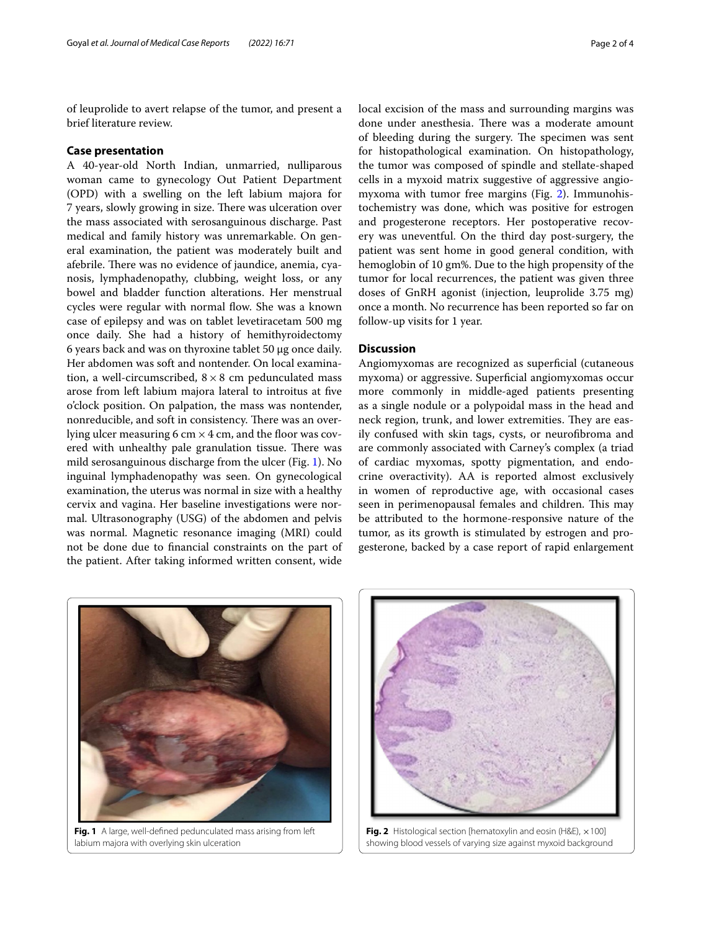of leuprolide to avert relapse of the tumor, and present a brief literature review.

## **Case presentation**

A 40-year-old North Indian, unmarried, nulliparous woman came to gynecology Out Patient Department (OPD) with a swelling on the left labium majora for 7 years, slowly growing in size. There was ulceration over the mass associated with serosanguinous discharge. Past medical and family history was unremarkable. On general examination, the patient was moderately built and afebrile. There was no evidence of jaundice, anemia, cyanosis, lymphadenopathy, clubbing, weight loss, or any bowel and bladder function alterations. Her menstrual cycles were regular with normal flow. She was a known case of epilepsy and was on tablet levetiracetam 500 mg once daily. She had a history of hemithyroidectomy 6 years back and was on thyroxine tablet 50 μg once daily. Her abdomen was soft and nontender. On local examination, a well-circumscribed,  $8 \times 8$  cm pedunculated mass arose from left labium majora lateral to introitus at fve o'clock position. On palpation, the mass was nontender, nonreducible, and soft in consistency. There was an overlying ulcer measuring 6 cm  $\times$  4 cm, and the floor was covered with unhealthy pale granulation tissue. There was mild serosanguinous discharge from the ulcer (Fig. [1](#page-1-0)). No inguinal lymphadenopathy was seen. On gynecological examination, the uterus was normal in size with a healthy cervix and vagina. Her baseline investigations were normal. Ultrasonography (USG) of the abdomen and pelvis was normal. Magnetic resonance imaging (MRI) could not be done due to fnancial constraints on the part of the patient. After taking informed written consent, wide local excision of the mass and surrounding margins was done under anesthesia. There was a moderate amount of bleeding during the surgery. The specimen was sent for histopathological examination. On histopathology, the tumor was composed of spindle and stellate-shaped cells in a myxoid matrix suggestive of aggressive angiomyxoma with tumor free margins (Fig. [2](#page-1-1)). Immunohistochemistry was done, which was positive for estrogen and progesterone receptors. Her postoperative recovery was uneventful. On the third day post-surgery, the patient was sent home in good general condition, with hemoglobin of 10 gm%. Due to the high propensity of the tumor for local recurrences, the patient was given three doses of GnRH agonist (injection, leuprolide 3.75 mg) once a month. No recurrence has been reported so far on follow-up visits for 1 year.

## **Discussion**

Angiomyxomas are recognized as superficial (cutaneous myxoma) or aggressive. Superfcial angiomyxomas occur more commonly in middle-aged patients presenting as a single nodule or a polypoidal mass in the head and neck region, trunk, and lower extremities. They are easily confused with skin tags, cysts, or neurofbroma and are commonly associated with Carney's complex (a triad of cardiac myxomas, spotty pigmentation, and endocrine overactivity). AA is reported almost exclusively in women of reproductive age, with occasional cases seen in perimenopausal females and children. This may be attributed to the hormone-responsive nature of the tumor, as its growth is stimulated by estrogen and progesterone, backed by a case report of rapid enlargement

<span id="page-1-0"></span>

labium majora with overlying skin ulceration



<span id="page-1-1"></span>**Fig. 2** Histological section [hematoxylin and eosin (H&E), ×100] showing blood vessels of varying size against myxoid background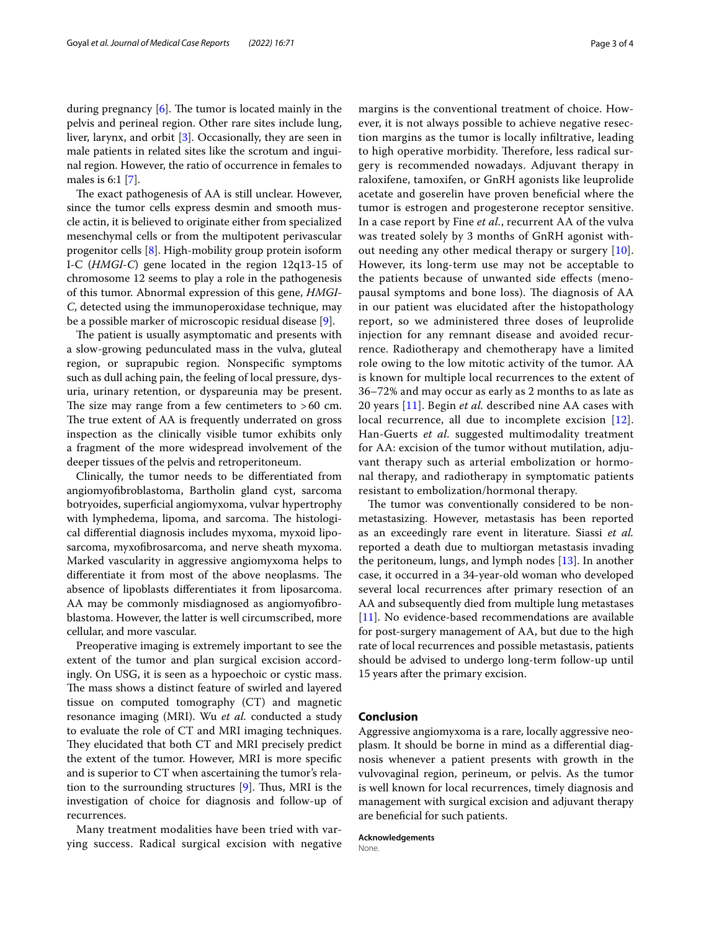during pregnancy  $[6]$  $[6]$ . The tumor is located mainly in the pelvis and perineal region. Other rare sites include lung, liver, larynx, and orbit [[3\]](#page-3-2). Occasionally, they are seen in male patients in related sites like the scrotum and inguinal region. However, the ratio of occurrence in females to males is 6:1 [[7\]](#page-3-6).

The exact pathogenesis of AA is still unclear. However, since the tumor cells express desmin and smooth muscle actin, it is believed to originate either from specialized mesenchymal cells or from the multipotent perivascular progenitor cells [\[8](#page-3-7)]. High-mobility group protein isoform I-C (*HMGI-C*) gene located in the region 12q13-15 of chromosome 12 seems to play a role in the pathogenesis of this tumor. Abnormal expression of this gene, *HMGI-C*, detected using the immunoperoxidase technique, may be a possible marker of microscopic residual disease [[9](#page-3-8)].

The patient is usually asymptomatic and presents with a slow-growing pedunculated mass in the vulva, gluteal region, or suprapubic region. Nonspecifc symptoms such as dull aching pain, the feeling of local pressure, dysuria, urinary retention, or dyspareunia may be present. The size may range from a few centimeters to  $>60$  cm. The true extent of AA is frequently underrated on gross inspection as the clinically visible tumor exhibits only a fragment of the more widespread involvement of the deeper tissues of the pelvis and retroperitoneum.

Clinically, the tumor needs to be diferentiated from angiomyofbroblastoma, Bartholin gland cyst, sarcoma botryoides, superfcial angiomyxoma, vulvar hypertrophy with lymphedema, lipoma, and sarcoma. The histological diferential diagnosis includes myxoma, myxoid liposarcoma, myxofbrosarcoma, and nerve sheath myxoma. Marked vascularity in aggressive angiomyxoma helps to differentiate it from most of the above neoplasms. The absence of lipoblasts diferentiates it from liposarcoma. AA may be commonly misdiagnosed as angiomyofbroblastoma. However, the latter is well circumscribed, more cellular, and more vascular.

Preoperative imaging is extremely important to see the extent of the tumor and plan surgical excision accordingly. On USG, it is seen as a hypoechoic or cystic mass. The mass shows a distinct feature of swirled and layered tissue on computed tomography (CT) and magnetic resonance imaging (MRI). Wu *et al.* conducted a study to evaluate the role of CT and MRI imaging techniques. They elucidated that both CT and MRI precisely predict the extent of the tumor. However, MRI is more specifc and is superior to CT when ascertaining the tumor's relation to the surrounding structures  $[9]$  $[9]$ . Thus, MRI is the investigation of choice for diagnosis and follow-up of recurrences.

Many treatment modalities have been tried with varying success. Radical surgical excision with negative margins is the conventional treatment of choice. However, it is not always possible to achieve negative resection margins as the tumor is locally infltrative, leading to high operative morbidity. Therefore, less radical surgery is recommended nowadays. Adjuvant therapy in raloxifene, tamoxifen, or GnRH agonists like leuprolide acetate and goserelin have proven benefcial where the tumor is estrogen and progesterone receptor sensitive. In a case report by Fine *et al.*, recurrent AA of the vulva was treated solely by 3 months of GnRH agonist without needing any other medical therapy or surgery [[10](#page-3-9)]. However, its long-term use may not be acceptable to the patients because of unwanted side efects (menopausal symptoms and bone loss). The diagnosis of AA in our patient was elucidated after the histopathology report, so we administered three doses of leuprolide injection for any remnant disease and avoided recurrence. Radiotherapy and chemotherapy have a limited role owing to the low mitotic activity of the tumor. AA is known for multiple local recurrences to the extent of 36–72% and may occur as early as 2 months to as late as 20 years [[11](#page-3-10)]. Begin *et al.* described nine AA cases with local recurrence, all due to incomplete excision [[12](#page-3-11)]. Han-Guerts *et al.* suggested multimodality treatment for AA: excision of the tumor without mutilation, adjuvant therapy such as arterial embolization or hormonal therapy, and radiotherapy in symptomatic patients resistant to embolization/hormonal therapy.

The tumor was conventionally considered to be nonmetastasizing. However, metastasis has been reported as an exceedingly rare event in literature. Siassi *et al.* reported a death due to multiorgan metastasis invading the peritoneum, lungs, and lymph nodes  $[13]$  $[13]$ . In another case, it occurred in a 34-year-old woman who developed several local recurrences after primary resection of an AA and subsequently died from multiple lung metastases [[11\]](#page-3-10). No evidence-based recommendations are available for post-surgery management of AA, but due to the high rate of local recurrences and possible metastasis, patients should be advised to undergo long-term follow-up until 15 years after the primary excision.

# **Conclusion**

Aggressive angiomyxoma is a rare, locally aggressive neoplasm. It should be borne in mind as a diferential diagnosis whenever a patient presents with growth in the vulvovaginal region, perineum, or pelvis. As the tumor is well known for local recurrences, timely diagnosis and management with surgical excision and adjuvant therapy are benefcial for such patients.

**Acknowledgements** None.